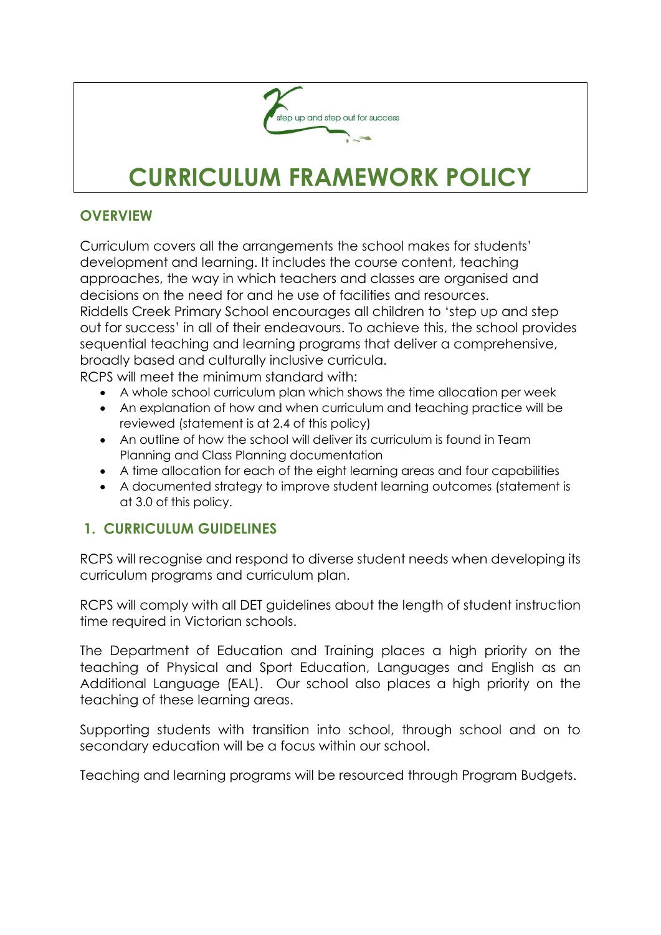

# **CURRICULUM FRAMEWORK POLICY**

#### **OVERVIEW**

Curriculum covers all the arrangements the school makes for students' development and learning. It includes the course content, teaching approaches, the way in which teachers and classes are organised and decisions on the need for and he use of facilities and resources. Riddells Creek Primary School encourages all children to 'step up and step out for success' in all of their endeavours. To achieve this, the school provides sequential teaching and learning programs that deliver a comprehensive, broadly based and culturally inclusive curricula. RCPS will meet the minimum standard with:

- A whole school curriculum plan which shows the time allocation per week
- An explanation of how and when curriculum and teaching practice will be reviewed (statement is at 2.4 of this policy)
- An outline of how the school will deliver its curriculum is found in Team Planning and Class Planning documentation
- A time allocation for each of the eight learning areas and four capabilities
- A documented strategy to improve student learning outcomes (statement is at 3.0 of this policy.

### **1. CURRICULUM GUIDELINES**

RCPS will recognise and respond to diverse student needs when developing its curriculum programs and curriculum plan.

RCPS will comply with all DET guidelines about the length of student instruction time required in Victorian schools.

The Department of Education and Training places a high priority on the teaching of Physical and Sport Education, Languages and English as an Additional Language (EAL). Our school also places a high priority on the teaching of these learning areas.

Supporting students with transition into school, through school and on to secondary education will be a focus within our school.

Teaching and learning programs will be resourced through Program Budgets.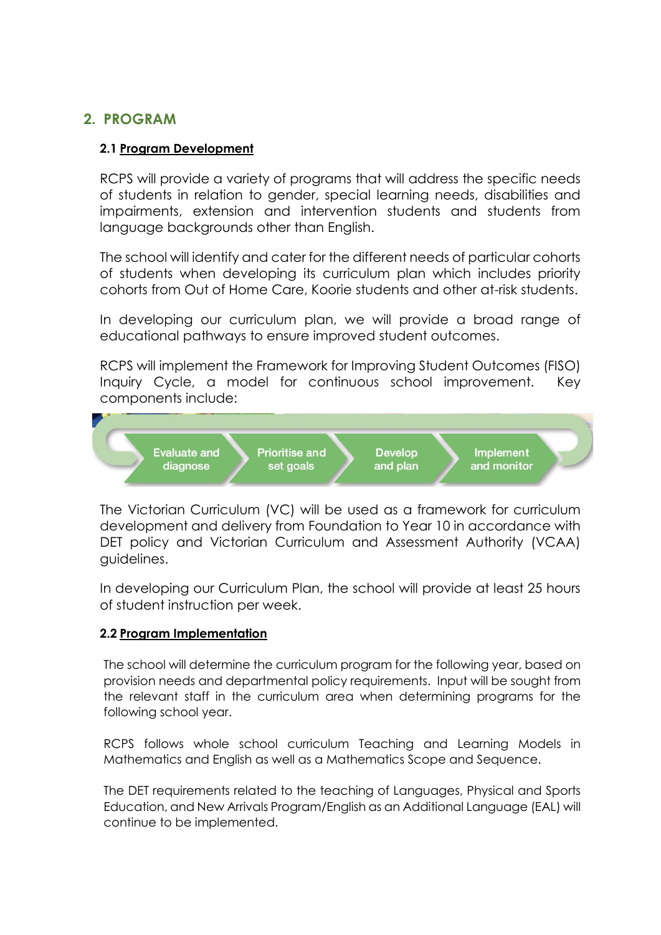## **2. PROGRAM**

#### **2.1 Program Development**

RCPS will provide a variety of programs that will address the specific needs of students in relation to gender, special learning needs, disabilities and impairments, extension and intervention students and students from language backgrounds other than English.

The school will identify and cater for the different needs of particular cohorts of students when developing its curriculum plan which includes priority cohorts from Out of Home Care, Koorie students and other at-risk students.

In developing our curriculum plan, we will provide a broad range of educational pathways to ensure improved student outcomes.

RCPS will implement the Framework for Improving Student Outcomes (FISO) Inquiry Cycle, a model for continuous school improvement. Key components include:



The Victorian Curriculum (VC) will be used as a framework for curriculum development and delivery from Foundation to Year 10 in accordance with DET policy and Victorian Curriculum and Assessment Authority (VCAA) guidelines.

In developing our Curriculum Plan, the school will provide at least 25 hours of student instruction per week.

#### **2.2 Program Implementation**

The school will determine the curriculum program for the following year, based on provision needs and departmental policy requirements. Input will be sought from the relevant staff in the curriculum area when determining programs for the following school year.

RCPS follows whole school curriculum Teaching and Learning Models in Mathematics and English as well as a Mathematics Scope and Sequence.

The DET requirements related to the teaching of Languages, Physical and Sports Education, and New Arrivals Program/English as an Additional Language (EAL) will continue to be implemented.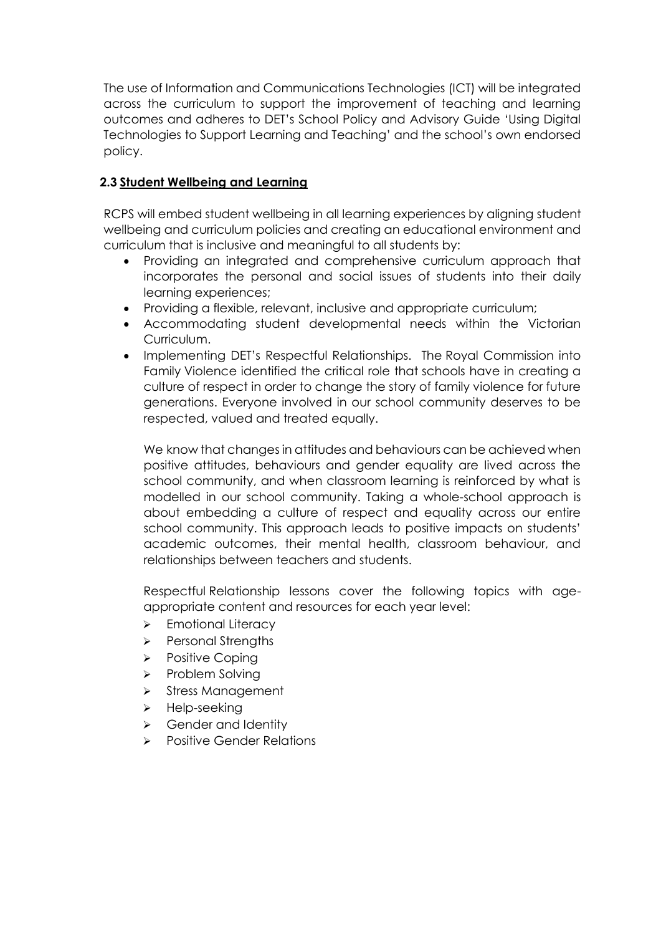The use of Information and Communications Technologies (ICT) will be integrated across the curriculum to support the improvement of teaching and learning outcomes and adheres to DET's School Policy and Advisory Guide 'Using Digital Technologies to Support Learning and Teaching' and the school's own endorsed policy.

#### **2.3 Student Wellbeing and Learning**

RCPS will embed student wellbeing in all learning experiences by aligning student wellbeing and curriculum policies and creating an educational environment and curriculum that is inclusive and meaningful to all students by:

- Providing an integrated and comprehensive curriculum approach that incorporates the personal and social issues of students into their daily learning experiences;
- Providing a flexible, relevant, inclusive and appropriate curriculum;
- Accommodating student developmental needs within the Victorian Curriculum.
- Implementing DET's Respectful Relationships. The Royal Commission into Family Violence identified the critical role that schools have in creating a culture of respect in order to change the story of family violence for future generations. Everyone involved in our school community deserves to be respected, valued and treated equally.

We know that changes in attitudes and behaviours can be achieved when positive attitudes, behaviours and gender equality are lived across the school community, and when classroom learning is reinforced by what is modelled in our school community. Taking a whole-school approach is about embedding a culture of respect and equality across our entire school community. This approach leads to positive impacts on students' academic outcomes, their mental health, classroom behaviour, and relationships between teachers and students.

Respectful Relationship lessons cover the following topics with ageappropriate content and resources for each year level:

- > Emotional Literacy
- Personal Strengths
- $\triangleright$  Positive Coping
- $\triangleright$  Problem Solving
- $\triangleright$  Stress Management
- $\triangleright$  Help-seeking
- Sender and Identity
- **>** Positive Gender Relations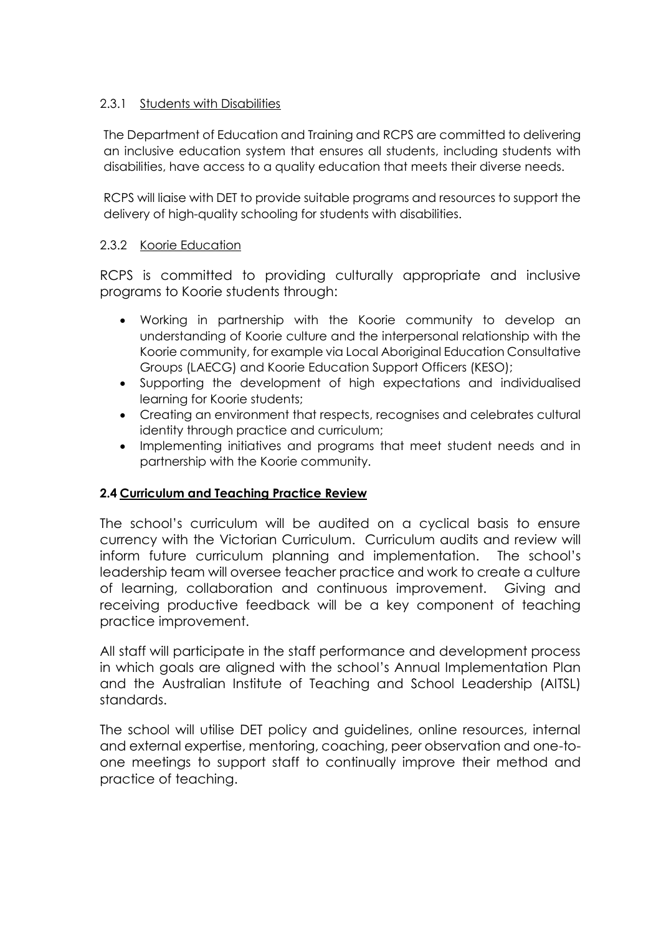#### 2.3.1 Students with Disabilities

The Department of Education and Training and RCPS are committed to delivering an inclusive education system that ensures all students, including students with disabilities, have access to a quality education that meets their diverse needs.

RCPS will liaise with DET to provide suitable programs and resources to support the delivery of high-quality schooling for students with disabilities.

#### 2.3.2 Koorie Education

RCPS is committed to providing culturally appropriate and inclusive programs to Koorie students through:

- Working in partnership with the Koorie community to develop an understanding of Koorie culture and the interpersonal relationship with the Koorie community, for example via Local Aboriginal Education Consultative Groups (LAECG) and Koorie Education Support Officers (KESO);
- Supporting the development of high expectations and individualised learning for Koorie students;
- Creating an environment that respects, recognises and celebrates cultural identity through practice and curriculum;
- Implementing initiatives and programs that meet student needs and in partnership with the Koorie community.

#### **2.4 Curriculum and Teaching Practice Review**

The school's curriculum will be audited on a cyclical basis to ensure currency with the Victorian Curriculum. Curriculum audits and review will inform future curriculum planning and implementation. The school's leadership team will oversee teacher practice and work to create a culture of learning, collaboration and continuous improvement. Giving and receiving productive feedback will be a key component of teaching practice improvement.

All staff will participate in the staff performance and development process in which goals are aligned with the school's Annual Implementation Plan and the Australian Institute of Teaching and School Leadership (AITSL) standards.

The school will utilise DET policy and guidelines, online resources, internal and external expertise, mentoring, coaching, peer observation and one-toone meetings to support staff to continually improve their method and practice of teaching.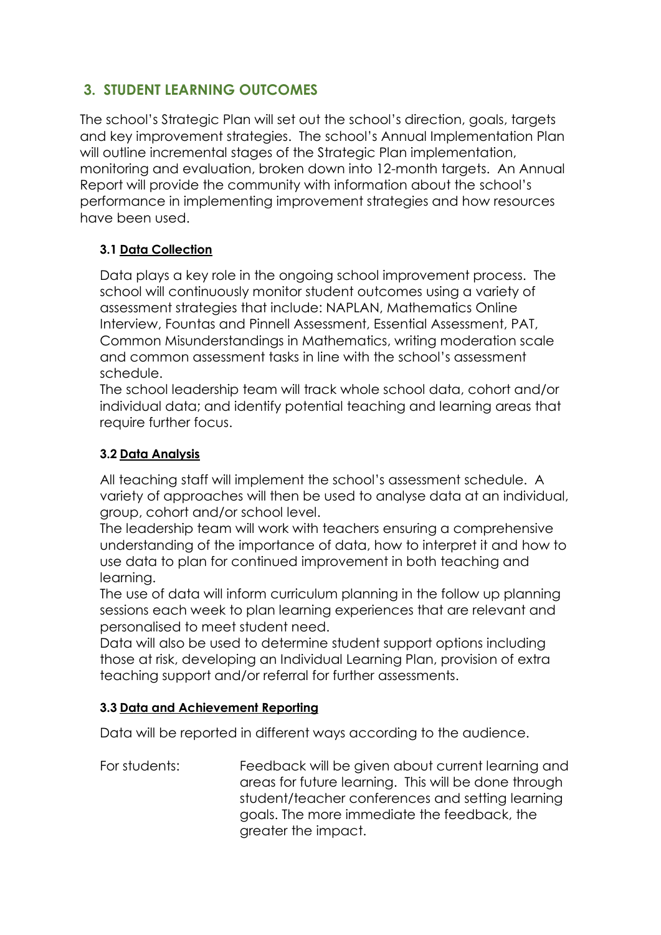# **3. STUDENT LEARNING OUTCOMES**

The school's Strategic Plan will set out the school's direction, goals, targets and key improvement strategies. The school's Annual Implementation Plan will outline incremental stages of the Strategic Plan implementation, monitoring and evaluation, broken down into 12-month targets. An Annual Report will provide the community with information about the school's performance in implementing improvement strategies and how resources have been used.

#### **3.1 Data Collection**

Data plays a key role in the ongoing school improvement process. The school will continuously monitor student outcomes using a variety of assessment strategies that include: NAPLAN, Mathematics Online Interview, Fountas and Pinnell Assessment, Essential Assessment, PAT, Common Misunderstandings in Mathematics, writing moderation scale and common assessment tasks in line with the school's assessment schedule.

The school leadership team will track whole school data, cohort and/or individual data; and identify potential teaching and learning areas that require further focus.

#### **3.2 Data Analysis**

All teaching staff will implement the school's assessment schedule. A variety of approaches will then be used to analyse data at an individual, group, cohort and/or school level.

The leadership team will work with teachers ensuring a comprehensive understanding of the importance of data, how to interpret it and how to use data to plan for continued improvement in both teaching and learning.

The use of data will inform curriculum planning in the follow up planning sessions each week to plan learning experiences that are relevant and personalised to meet student need.

Data will also be used to determine student support options including those at risk, developing an Individual Learning Plan, provision of extra teaching support and/or referral for further assessments.

#### **3.3 Data and Achievement Reporting**

Data will be reported in different ways according to the audience.

For students: Feedback will be given about current learning and areas for future learning. This will be done through student/teacher conferences and setting learning goals. The more immediate the feedback, the greater the impact.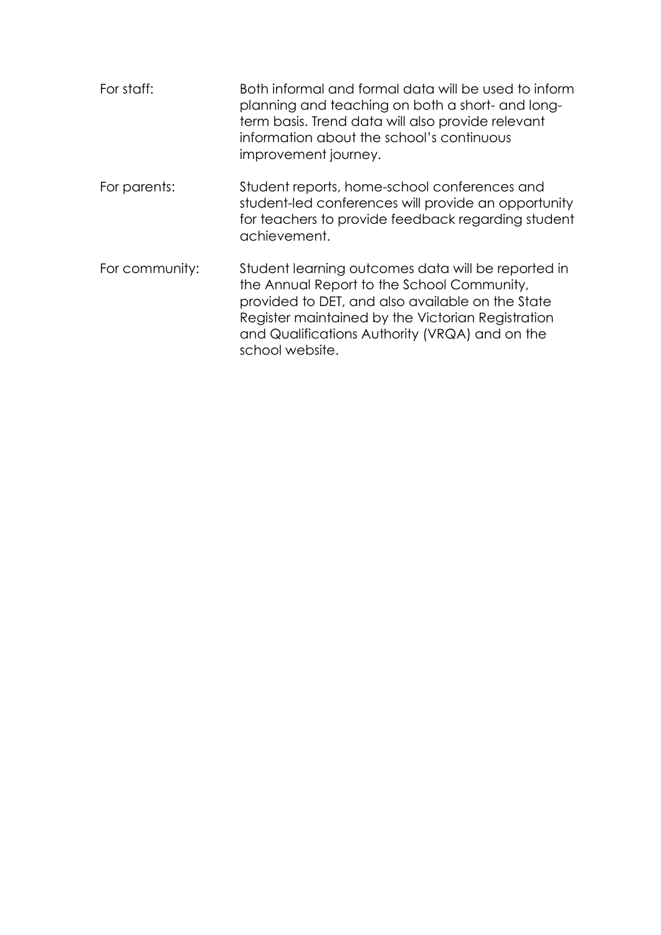| For staff:     | Both informal and formal data will be used to inform<br>planning and teaching on both a short- and long-<br>term basis. Trend data will also provide relevant<br>information about the school's continuous<br>improvement journey.                                             |
|----------------|--------------------------------------------------------------------------------------------------------------------------------------------------------------------------------------------------------------------------------------------------------------------------------|
| For parents:   | Student reports, home-school conferences and<br>student-led conferences will provide an opportunity<br>for teachers to provide feedback regarding student<br>achievement.                                                                                                      |
| For community: | Student learning outcomes data will be reported in<br>the Annual Report to the School Community,<br>provided to DET, and also available on the State<br>Register maintained by the Victorian Registration<br>and Qualifications Authority (VRQA) and on the<br>school website. |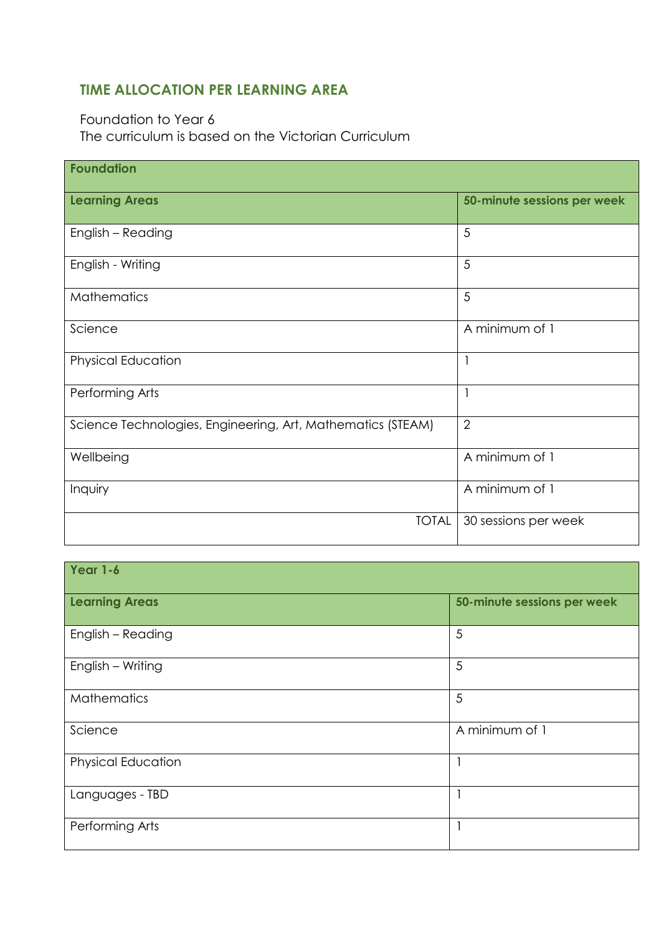## **TIME ALLOCATION PER LEARNING AREA**

## Foundation to Year 6 The curriculum is based on the Victorian Curriculum

| <b>Foundation</b>                                           |                             |
|-------------------------------------------------------------|-----------------------------|
| <b>Learning Areas</b>                                       | 50-minute sessions per week |
| English - Reading                                           | 5                           |
| English - Writing                                           | 5                           |
| <b>Mathematics</b>                                          | 5                           |
| Science                                                     | A minimum of 1              |
| <b>Physical Education</b>                                   | $\mathbf{1}$                |
| Performing Arts                                             | $\mathbf{1}$                |
| Science Technologies, Engineering, Art, Mathematics (STEAM) | $\overline{2}$              |
| Wellbeing                                                   | A minimum of 1              |
| Inquiry                                                     | A minimum of 1              |
| <b>TOTAL</b>                                                | 30 sessions per week        |

| Year 1-6                  |                             |  |
|---------------------------|-----------------------------|--|
| <b>Learning Areas</b>     | 50-minute sessions per week |  |
| English - Reading         | 5                           |  |
| English - Writing         | 5                           |  |
| <b>Mathematics</b>        | 5                           |  |
| Science                   | A minimum of 1              |  |
| <b>Physical Education</b> |                             |  |
| Languages - TBD           |                             |  |
| Performing Arts           |                             |  |